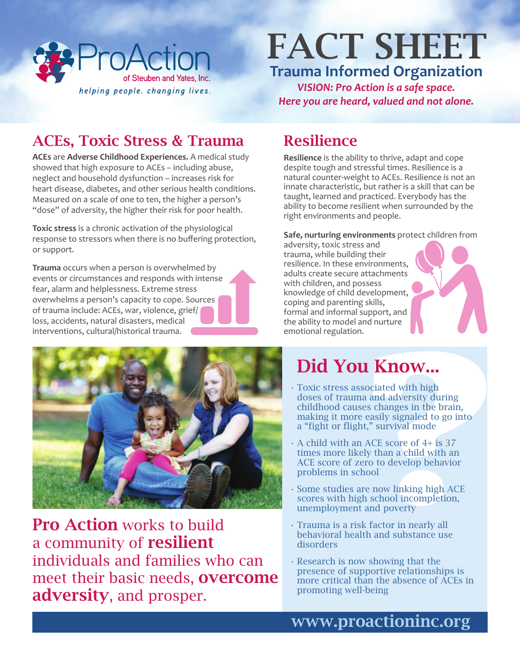

# **Trauma Informed Organization** FACT SHEET

*VISION: Pro Action is a safe space. Here you are heard, valued and not alone.*

## ACEs, Toxic Stress & Trauma Resilience

**ACEs** are **Adverse Childhood Experiences.** A medical study showed that high exposure to ACEs – including abuse, neglect and household dysfunction – increases risk for heart disease, diabetes, and other serious health conditions. Measured on a scale of one to ten, the higher a person's "dose" of adversity, the higher their risk for poor health.

**Toxic stress** is a chronic activation of the physiological response to stressors when there is no buffering protection, or support.

**Trauma** occurs when a person is overwhelmed by events or circumstances and responds with intense fear, alarm and helplessness. Extreme stress overwhelms a person's capacity to cope. Sources of trauma include: ACEs, war, violence, grief/ loss, accidents, natural disasters, medical interventions, cultural/historical trauma.

**Resilience** is the ability to thrive, adapt and cope despite tough and stressful times. Resilience is a natural counter-weight to ACEs. Resilience is not an innate characteristic, but rather is a skill that can be taught, learned and practiced. Everybody has the ability to become resilient when surrounded by the right environments and people.

#### **Safe, nurturing environments** protect children from

adversity, toxic stress and trauma, while building their resilience. In these environments, adults create secure attachments with children, and possess knowledge of child development, coping and parenting skills, formal and informal support, and the ability to model and nurture emotional regulation.



Pro Action works to build a community of **resilient** individuals and families who can meet their basic needs, overcome adversity, and prosper.

# Did You Know...

- Toxic stress associated with high doses of trauma and adversity during childhood causes changes in the brain, making it more easily signaled to go into a "fight or flight," survival mode
- $\cdot$  A child with an ACE score of 4+ is 37 times more likely than a child with an ACE score of zero to develop behavior problems in school
- Some studies are now linking high ACE scores with high school incompletion, unemployment and poverty
- Trauma is a risk factor in nearly all behavioral health and substance use disorders
- Research is now showing that the presence of supportive relationships is more critical than the absence of ACEs in promoting well-being

## www.proactioninc.org